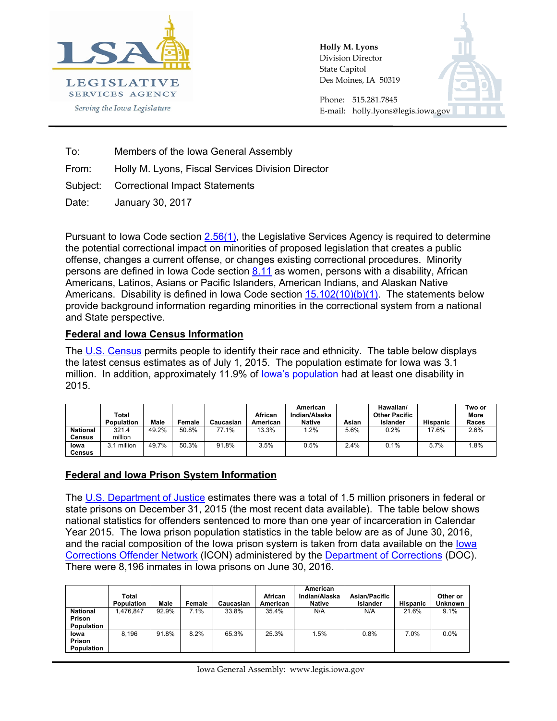

**Holly M. Lyons**  Division Director State Capitol Des Moines, IA 50319



Phone: 515.281.7845 E-mail: holly.lyons@legis.iowa.gov

To: Members of the Iowa General Assembly

From: Holly M. Lyons, Fiscal Services Division Director

Subject: Correctional Impact Statements

Date: January 30, 2017

Pursuant to Iowa Code section [2.56\(1\),](https://www.legis.iowa.gov/docs/code/2.56.pdf) the Legislative Services Agency is required to determine the potential correctional impact on minorities of proposed legislation that creates a public offense, changes a current offense, or changes existing correctional procedures. Minority persons are defined in Iowa Code section [8.11](https://www.legis.iowa.gov/docs/code/8.11.pdf) as women, persons with a disability, African Americans, Latinos, Asians or Pacific Islanders, American Indians, and Alaskan Native Americans. Disability is defined in Iowa Code section  $15.102(10)(b)(1)$ . The statements below provide background information regarding minorities in the correctional system from a national and State perspective.

## **Federal and Iowa Census Information**

The [U.S. Census](https://factfinder.census.gov/faces/tableservices/jsf/pages/productview.xhtml?pid=PEP_2015_PEPANNRES&src=pt) permits people to identify their race and ethnicity. The table below displays the latest census estimates as of July 1, 2015. The population estimate for Iowa was 3.1 million. In addition, approximately 11.9% of [Iowa's population](https://factfinder.census.gov/faces/tableservices/jsf/pages/productview.xhtml?pid=ACS_12_1YR_R1810.US01PRF&prodType=table) had at least one disability in 2015.

|                 | Total<br><b>Population</b> | Male  | Female | Caucasian | African<br>American | American<br>Indian/Alaska<br><b>Native</b> | Asian | Hawaiian/<br><b>Other Pacific</b><br>Islander | <b>Hispanic</b> | Two or<br>More<br>Races |
|-----------------|----------------------------|-------|--------|-----------|---------------------|--------------------------------------------|-------|-----------------------------------------------|-----------------|-------------------------|
| <b>National</b> | 321.4                      | 49.2% | 50.8%  | 77.1%     | 13.3%               | .2%                                        | 5.6%  | 0.2%                                          | 17.6%           | 2.6%                    |
| Census          | million                    |       |        |           |                     |                                            |       |                                               |                 |                         |
| lowa            | million                    | 49.7% | 50.3%  | 91.8%     | 3.5%                | 0.5%                                       | 2.4%  | 0.1%                                          | 5.7%            | .8%                     |
| <b>Census</b>   |                            |       |        |           |                     |                                            |       |                                               |                 |                         |

## **Federal and Iowa Prison System Information**

The [U.S. Department of Justice](https://www.bjs.gov/content/pub/pdf/p15.pdf) estimates there was a total of 1.5 million prisoners in federal or state prisons on December 31, 2015 (the most recent data available). The table below shows national statistics for offenders sentenced to more than one year of incarceration in Calendar Year 2015. The Iowa prison population statistics in the table below are as of June 30, 2016, and the racial composition of the Iowa prison system is taken from data available on the [Iowa](https://www.legis.iowa.gov/docs/publications/FT/15690.pdf)  [Corrections Offender Network](https://www.legis.iowa.gov/docs/publications/FT/15690.pdf) (ICON) administered by the [Department of Corrections](http://www.doc.state.ia.us/) (DOC). There were 8,196 inmates in Iowa prisons on June 30, 2016.

|                                                | Total<br><b>Population</b> | Male  | Female | Caucasian | African<br>American | American<br>Indian/Alaska<br><b>Native</b> | <b>Asian/Pacific</b><br>Islander | <b>Hispanic</b> | Other or<br><b>Unknown</b> |
|------------------------------------------------|----------------------------|-------|--------|-----------|---------------------|--------------------------------------------|----------------------------------|-----------------|----------------------------|
| <b>National</b><br>Prison<br><b>Population</b> | 1.476.847                  | 92.9% | 7.1%   | 33.8%     | 35.4%               | N/A                                        | N/A                              | 21.6%           | 9.1%                       |
| lowa<br>Prison<br>Population                   | 8.196                      | 91.8% | 8.2%   | 65.3%     | 25.3%               | 1.5%                                       | 0.8%                             | 7.0%            | 0.0%                       |